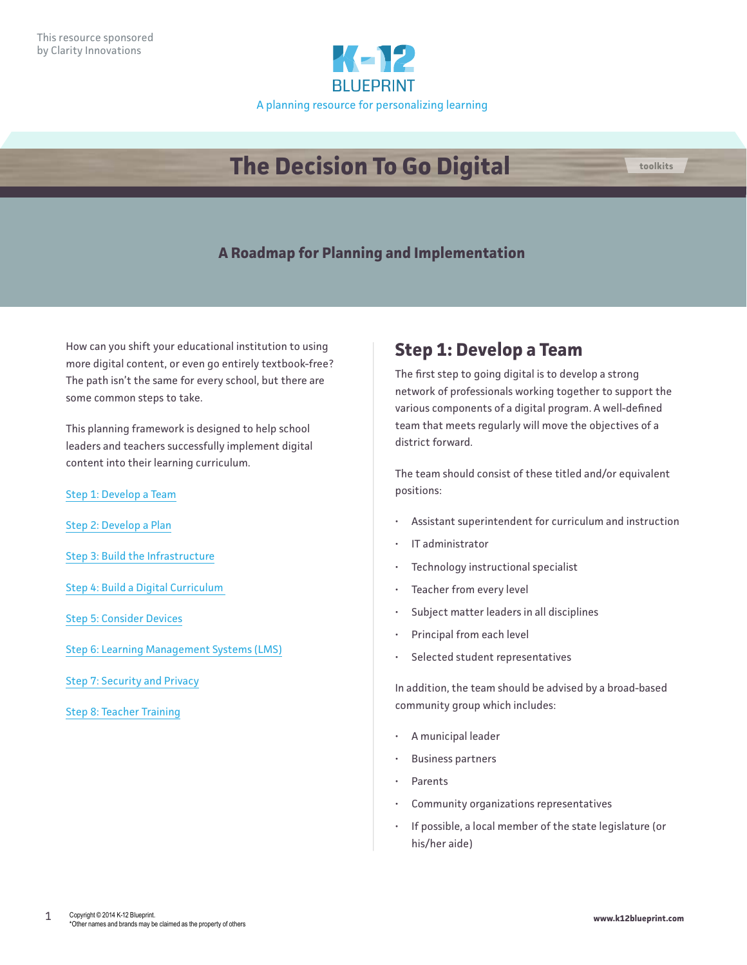

# **The Decision To Go Digital**



How can you shift your educational institution to using more digital content, or even go entirely textbook-free? The path isn't the same for every school, but there are some common steps to take.

This planning framework is designed to help school leaders and teachers successfully implement digital content into their learning curriculum.

Step 1: Develop a Team

[Step 2: Develop a Plan](#page-1-0)

[Step 3: Build the Infrastructure](#page-1-0)

[Step 4: Build a Digital Curriculum](#page-2-0) 

[Step 5: Consider Devices](#page-3-0)

[Step 6: Learning Management Systems \(LMS\)](#page-4-0)

[Step 7: Security and Privacy](#page-6-0)

[Step 8: Teacher Training](#page-6-0)

# **Step 1: Develop a Team**

The first step to going digital is to develop a strong network of professionals working together to support the various components of a digital program. A well-defined team that meets regularly will move the objectives of a district forward.

The team should consist of these titled and/or equivalent positions:

- Assistant superintendent for curriculum and instruction
- IT administrator
- Technology instructional specialist
- Teacher from every level
- Subject matter leaders in all disciplines
- Principal from each level
- Selected student representatives

In addition, the team should be advised by a broad-based community group which includes:

- A municipal leader
- Business partners
- Parents
- Community organizations representatives
- If possible, a local member of the state legislature (or his/her aide)

**toolkits**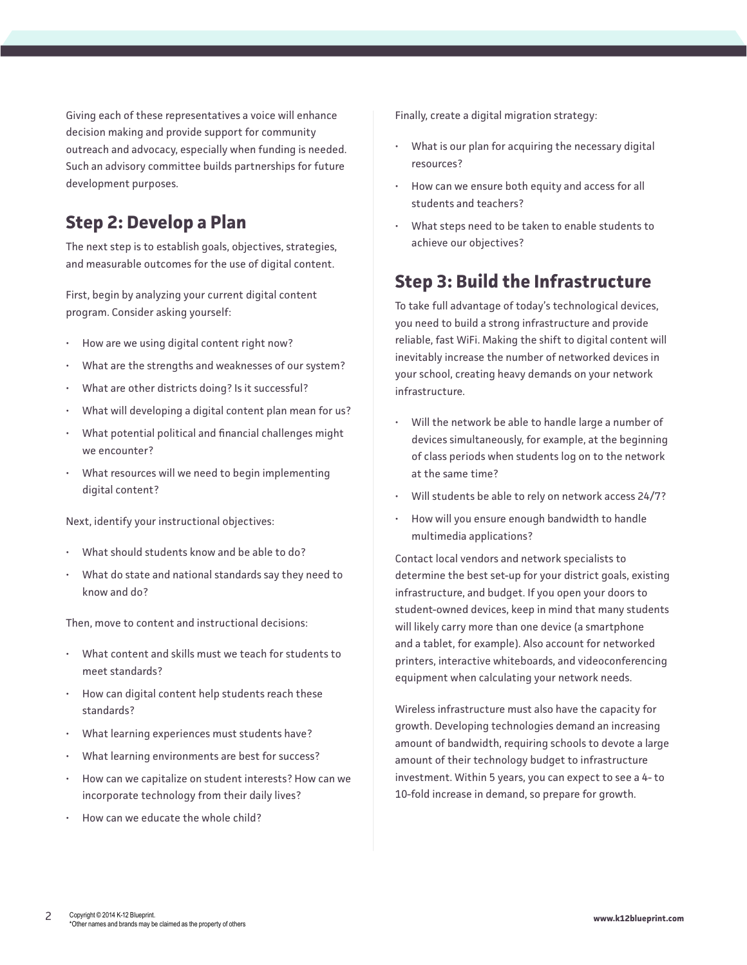<span id="page-1-0"></span>Giving each of these representatives a voice will enhance decision making and provide support for community outreach and advocacy, especially when funding is needed. Such an advisory committee builds partnerships for future development purposes.

# **Step 2: Develop a Plan**

The next step is to establish goals, objectives, strategies, and measurable outcomes for the use of digital content.

First, begin by analyzing your current digital content program. Consider asking yourself:

- How are we using digital content right now?
- What are the strengths and weaknesses of our system?
- What are other districts doing? Is it successful?
- What will developing a digital content plan mean for us?
- What potential political and financial challenges might we encounter?
- What resources will we need to begin implementing digital content?

Next, identify your instructional objectives:

- What should students know and be able to do?
- What do state and national standards say they need to know and do?

Then, move to content and instructional decisions:

- What content and skills must we teach for students to meet standards?
- How can digital content help students reach these standards?
- What learning experiences must students have?
- What learning environments are best for success?
- How can we capitalize on student interests? How can we incorporate technology from their daily lives?
- How can we educate the whole child?

Finally, create a digital migration strategy:

- What is our plan for acquiring the necessary digital resources?
- How can we ensure both equity and access for all students and teachers?
- What steps need to be taken to enable students to achieve our objectives?

# **Step 3: Build the Infrastructure**

To take full advantage of today's technological devices, you need to build a strong infrastructure and provide reliable, fast WiFi. Making the shift to digital content will inevitably increase the number of networked devices in your school, creating heavy demands on your network infrastructure.

- Will the network be able to handle large a number of devices simultaneously, for example, at the beginning of class periods when students log on to the network at the same time?
- Will students be able to rely on network access 24/7?
- How will you ensure enough bandwidth to handle multimedia applications?

Contact local vendors and network specialists to determine the best set-up for your district goals, existing infrastructure, and budget. If you open your doors to student-owned devices, keep in mind that many students will likely carry more than one device (a smartphone and a tablet, for example). Also account for networked printers, interactive whiteboards, and videoconferencing equipment when calculating your network needs.

Wireless infrastructure must also have the capacity for growth. Developing technologies demand an increasing amount of bandwidth, requiring schools to devote a large amount of their technology budget to infrastructure investment. Within 5 years, you can expect to see a 4- to 10-fold increase in demand, so prepare for growth.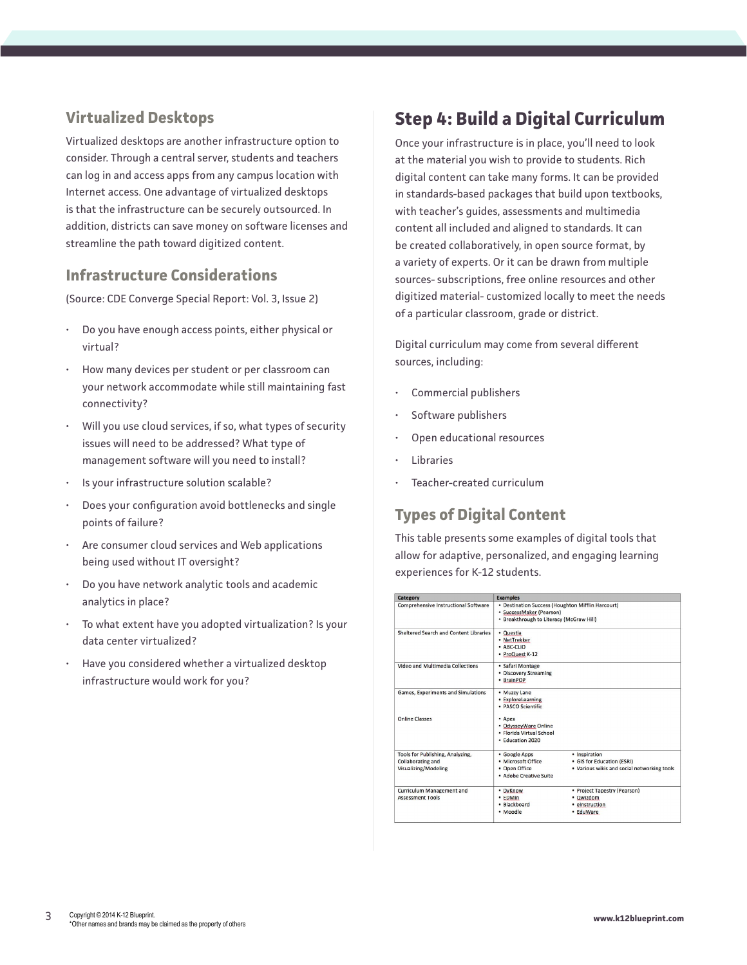# <span id="page-2-0"></span>**Virtualized Desktops**

Virtualized desktops are another infrastructure option to consider. Through a central server, students and teachers can log in and access apps from any campus location with Internet access. One advantage of virtualized desktops is that the infrastructure can be securely outsourced. In addition, districts can save money on software licenses and streamline the path toward digitized content.

## **Infrastructure Considerations**

(Source: CDE Converge Special Report: Vol. 3, Issue 2)

- Do you have enough access points, either physical or virtual?
- How many devices per student or per classroom can your network accommodate while still maintaining fast connectivity?
- Will you use cloud services, if so, what types of security issues will need to be addressed? What type of management software will you need to install?
- Is your infrastructure solution scalable?
- Does your configuration avoid bottlenecks and single points of failure?
- Are consumer cloud services and Web applications being used without IT oversight?
- Do you have network analytic tools and academic analytics in place?
- To what extent have you adopted virtualization? Is your data center virtualized?
- Have you considered whether a virtualized desktop infrastructure would work for you?

# **Step 4: Build a Digital Curriculum**

Once your infrastructure is in place, you'll need to look at the material you wish to provide to students. Rich digital content can take many forms. It can be provided in standards-based packages that build upon textbooks, with teacher's guides, assessments and multimedia content all included and aligned to standards. It can be created collaboratively, in open source format, by a variety of experts. Or it can be drawn from multiple sources- subscriptions, free online resources and other digitized material- customized locally to meet the needs of a particular classroom, grade or district.

Digital curriculum may come from several different sources, including:

- Commercial publishers
- Software publishers
- Open educational resources
- **Libraries**
- Teacher-created curriculum

## **Types of Digital Content**

This table presents some examples of digital tools that allow for adaptive, personalized, and engaging learning experiences for K-12 students.

| Category                                                                      | <b>Examples</b>                                                                                                           |                                                                                            |
|-------------------------------------------------------------------------------|---------------------------------------------------------------------------------------------------------------------------|--------------------------------------------------------------------------------------------|
| Comprehensive Instructional Software                                          | • Destination Success (Houghton Mifflin Harcourt)<br>· SuccessMaker (Pearson)<br>• Breakthrough to Literacy (McGraw Hill) |                                                                                            |
| Sheltered Search and Content Libraries                                        | · Questia<br>• NetTrekker<br>· ABC-CLIO<br>· ProQuest K-12                                                                |                                                                                            |
| Video and Multimedia Collections                                              | · Safari Montage<br>• Discovery Streaming<br>• BrainPOP                                                                   |                                                                                            |
| Games, Experiments and Simulations                                            | • Muzzy Lane<br>· ExploreLearning<br>· PASCO Scientific                                                                   |                                                                                            |
| <b>Online Classes</b>                                                         | • Apex<br>· OdysseyWare Online<br>· Elorida Virtual School<br>· Education 2020                                            |                                                                                            |
| Tools for Publishing, Analyzing,<br>Collaborating and<br>Visualizing/Modeling | · Google Apps<br>· Microsoft Office<br>• Open Office<br>· Adobe Creative Suite                                            | · Inspiration<br>• GIS for Education (ESRI)<br>. Various wikis and social networking tools |
| <b>Curriculum Management and</b><br><b>Assessment Tools</b>                   | · DyKnow<br>• EDMin<br>· Blackboard<br>· Moodle                                                                           | • Project Tapestry (Pearson)<br>· Qwizdom<br>• einstruction<br>• EduWare                   |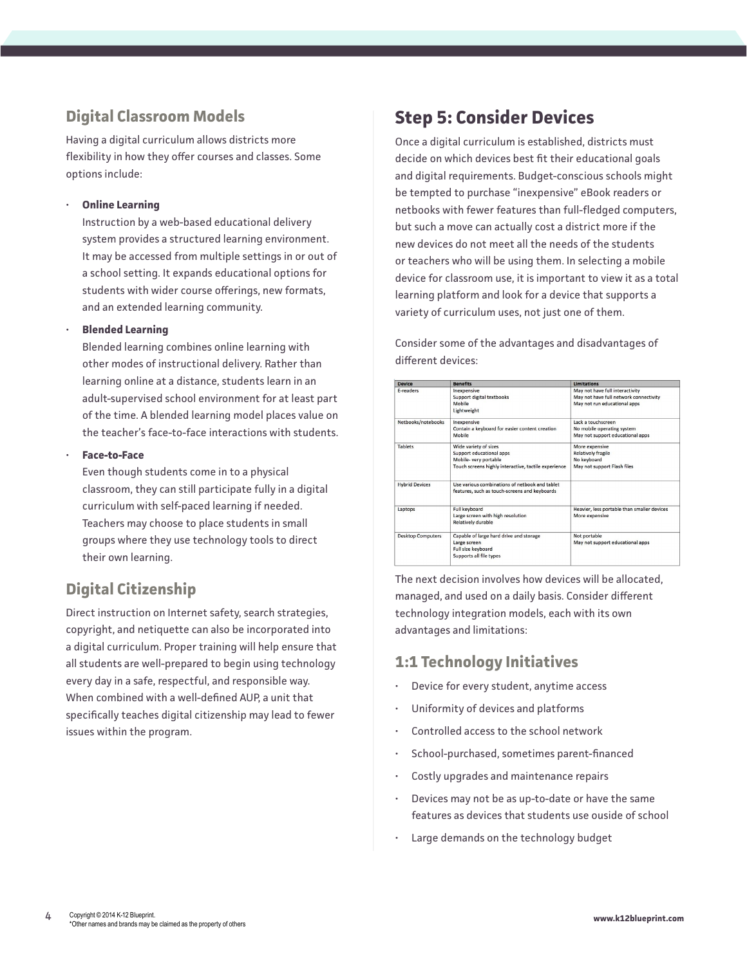# <span id="page-3-0"></span>**Digital Classroom Models**

Having a digital curriculum allows districts more flexibility in how they offer courses and classes. Some options include:

#### • **Online Learning**

Instruction by a web-based educational delivery system provides a structured learning environment. It may be accessed from multiple settings in or out of a school setting. It expands educational options for students with wider course offerings, new formats, and an extended learning community.

#### • **Blended Learning**

Blended learning combines online learning with other modes of instructional delivery. Rather than learning online at a distance, students learn in an adult-supervised school environment for at least part of the time. A blended learning model places value on the teacher's face-to-face interactions with students.

#### • **Face-to-Face**

Even though students come in to a physical classroom, they can still participate fully in a digital curriculum with self-paced learning if needed. Teachers may choose to place students in small groups where they use technology tools to direct their own learning.

# **Digital Citizenship**

Direct instruction on Internet safety, search strategies, copyright, and netiquette can also be incorporated into a digital curriculum. Proper training will help ensure that all students are well-prepared to begin using technology every day in a safe, respectful, and responsible way. When combined with a well-defined AUP, a unit that specifically teaches digital citizenship may lead to fewer issues within the program.

# **Step 5: Consider Devices**

Once a digital curriculum is established, districts must decide on which devices best fit their educational goals and digital requirements. Budget-conscious schools might be tempted to purchase "inexpensive" eBook readers or netbooks with fewer features than full-fledged computers, but such a move can actually cost a district more if the new devices do not meet all the needs of the students or teachers who will be using them. In selecting a mobile device for classroom use, it is important to view it as a total learning platform and look for a device that supports a variety of curriculum uses, not just one of them.

Consider some of the advantages and disadvantages of different devices:

| <b>Device</b>            | <b>Benefits</b>                                                                                 | <b>Limitations</b>                          |
|--------------------------|-------------------------------------------------------------------------------------------------|---------------------------------------------|
| E-readers                | Inexpensive                                                                                     | May not have full interactivity             |
|                          | Support digital textbooks                                                                       | May not have full network connectivity      |
|                          | Mobile                                                                                          | May not run educational apps                |
|                          | Lightweight                                                                                     |                                             |
| Netbooks/notebooks       | Inexpensive                                                                                     | Lack a touchscreen                          |
|                          | Contain a keyboard for easier content creation                                                  | No mobile operating system                  |
|                          | Mobile                                                                                          | May not support educational apps            |
| <b>Tablets</b>           | Wide variety of sizes                                                                           | More expensive                              |
|                          | Support educational apps                                                                        | <b>Relatively fragile</b>                   |
|                          | Mobile- very portable                                                                           | No keyboard                                 |
|                          | Touch screens highly interactive, tactile experience                                            | May not support Flash files                 |
| <b>Hybrid Devices</b>    | Use various combinations of netbook and tablet<br>features, such as touch-screens and keyboards |                                             |
|                          |                                                                                                 |                                             |
| Laptops                  | <b>Full keyboard</b>                                                                            | Heavier, less portable than smaller devices |
|                          | Large screen with high resolution                                                               | More expensive                              |
|                          | <b>Relatively durable</b>                                                                       |                                             |
| <b>Desktop Computers</b> | Capable of large hard drive and storage                                                         | Not portable                                |
|                          | Large screen                                                                                    | May not support educational apps            |
|                          | Full size keyboard                                                                              |                                             |
|                          | Supports all file types                                                                         |                                             |
|                          |                                                                                                 |                                             |

The next decision involves how devices will be allocated, managed, and used on a daily basis. Consider different technology integration models, each with its own advantages and limitations:

## **1:1 Technology Initiatives**

- Device for every student, anytime access
- Uniformity of devices and platforms
- Controlled access to the school network
- School-purchased, sometimes parent-financed
- Costly upgrades and maintenance repairs
- Devices may not be as up-to-date or have the same features as devices that students use ouside of school
- Large demands on the technology budget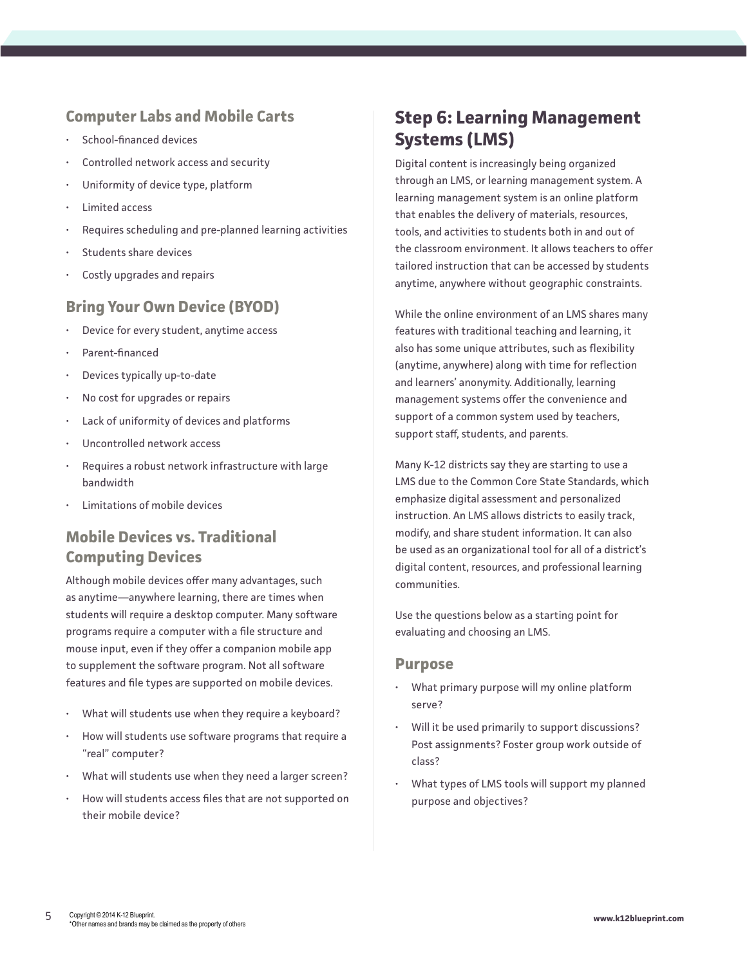### <span id="page-4-0"></span>**Computer Labs and Mobile Carts**

- School-financed devices
- Controlled network access and security
- Uniformity of device type, platform
- Limited access
- Requires scheduling and pre-planned learning activities
- Students share devices
- Costly upgrades and repairs

## **Bring Your Own Device (BYOD)**

- Device for every student, anytime access
- Parent-financed
- Devices typically up-to-date
- No cost for upgrades or repairs
- Lack of uniformity of devices and platforms
- Uncontrolled network access
- Requires a robust network infrastructure with large bandwidth
- Limitations of mobile devices

# **Mobile Devices vs. Traditional Computing Devices**

Although mobile devices offer many advantages, such as anytime—anywhere learning, there are times when students will require a desktop computer. Many software programs require a computer with a file structure and mouse input, even if they offer a companion mobile app to supplement the software program. Not all software features and file types are supported on mobile devices.

- What will students use when they require a keyboard?
- How will students use software programs that require a "real" computer?
- What will students use when they need a larger screen?
- How will students access files that are not supported on their mobile device?

# **Step 6: Learning Management Systems (LMS)**

Digital content is increasingly being organized through an LMS, or learning management system. A learning management system is an online platform that enables the delivery of materials, resources, tools, and activities to students both in and out of the classroom environment. It allows teachers to offer tailored instruction that can be accessed by students anytime, anywhere without geographic constraints.

While the online environment of an LMS shares many features with traditional teaching and learning, it also has some unique attributes, such as flexibility (anytime, anywhere) along with time for reflection and learners' anonymity. Additionally, learning management systems offer the convenience and support of a common system used by teachers, support staff, students, and parents.

Many K-12 districts say they are starting to use a LMS due to the Common Core State Standards, which emphasize digital assessment and personalized instruction. An LMS allows districts to easily track, modify, and share student information. It can also be used as an organizational tool for all of a district's digital content, resources, and professional learning communities.

Use the questions below as a starting point for evaluating and choosing an LMS.

#### **Purpose**

- What primary purpose will my online platform serve?
- Will it be used primarily to support discussions? Post assignments? Foster group work outside of class?
- What types of LMS tools will support my planned purpose and objectives?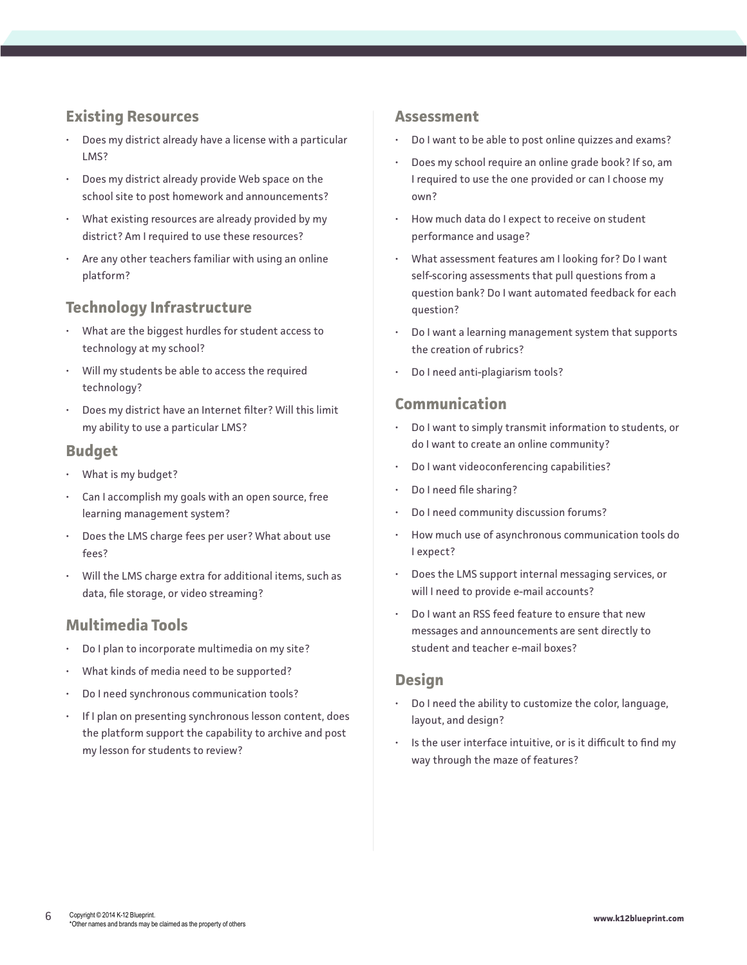### **Existing Resources**

- Does my district already have a license with a particular LMS?
- Does my district already provide Web space on the school site to post homework and announcements?
- What existing resources are already provided by my district? Am I required to use these resources?
- Are any other teachers familiar with using an online platform?

### **Technology Infrastructure**

- What are the biggest hurdles for student access to technology at my school?
- Will my students be able to access the required technology?
- Does my district have an Internet filter? Will this limit my ability to use a particular LMS?

#### **Budget**

- What is my budget?
- Can I accomplish my goals with an open source, free learning management system?
- Does the LMS charge fees per user? What about use fees?
- Will the LMS charge extra for additional items, such as data, file storage, or video streaming?

### **Multimedia Tools**

- Do I plan to incorporate multimedia on my site?
- What kinds of media need to be supported?
- Do I need synchronous communication tools?
- If I plan on presenting synchronous lesson content, does the platform support the capability to archive and post my lesson for students to review?

#### **Assessment**

- Do I want to be able to post online quizzes and exams?
- Does my school require an online grade book? If so, am I required to use the one provided or can I choose my own?
- How much data do I expect to receive on student performance and usage?
- What assessment features am I looking for? Do I want self-scoring assessments that pull questions from a question bank? Do I want automated feedback for each question?
- Do I want a learning management system that supports the creation of rubrics?
- Do I need anti-plagiarism tools?

#### **Communication**

- Do I want to simply transmit information to students, or do I want to create an online community?
- Do I want videoconferencing capabilities?
- Do I need file sharing?
- Do I need community discussion forums?
- How much use of asynchronous communication tools do I expect?
- Does the LMS support internal messaging services, or will I need to provide e-mail accounts?
- Do I want an RSS feed feature to ensure that new messages and announcements are sent directly to student and teacher e-mail boxes?

#### **Design**

- Do I need the ability to customize the color, language, layout, and design?
- Is the user interface intuitive, or is it difficult to find my way through the maze of features?